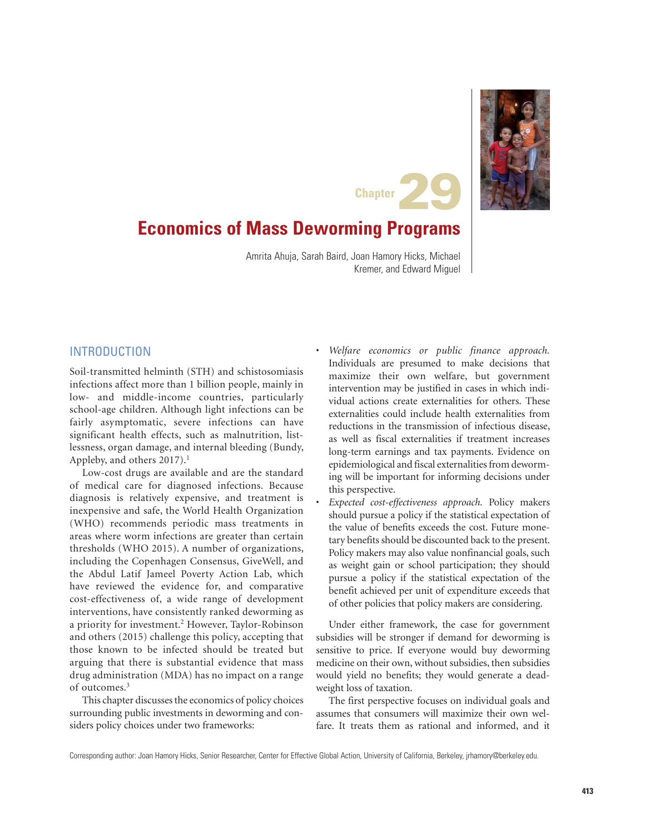



# **Economics of Mass Deworming Programs**

Amrita Ahuja, Sarah Baird, Joan Hamory Hicks, Michael Kremer, and Edward Miguel

# **INTRODUCTION**

Soil-transmitted helminth (STH) and schistosomiasis infections affect more than 1 billion people, mainly in low- and middle-income countries, particularly school-age children. Although light infections can be fairly asymptomatic, severe infections can have significant health effects, such as malnutrition, listlessness, organ damage, and internal bleeding (Bundy, Appleby, and others 2017).<sup>1</sup>

Low-cost drugs are available and are the standard of medical care for diagnosed infections. Because diagnosis is relatively expensive, and treatment is inexpensive and safe, the World Health Organization (WHO) recommends periodic mass treatments in areas where worm infections are greater than certain thresholds (WHO 2015). A number of organizations, including the Copenhagen Consensus, GiveWell, and the Abdul Latif Jameel Poverty Action Lab, which have reviewed the evidence for, and comparative cost-effectiveness of, a wide range of development interventions, have consistently ranked deworming as a priority for investment.<sup>2</sup> However, Taylor-Robinson and others (2015) challenge this policy, accepting that those known to be infected should be treated but arguing that there is substantial evidence that mass drug administration (MDA) has no impact on a range of outcomes.3

This chapter discusses the economics of policy choices surrounding public investments in deworming and considers policy choices under two frameworks:

- *Welfare economics or public finance approach.*  Individuals are presumed to make decisions that maximize their own welfare, but government intervention may be justified in cases in which individual actions create externalities for others. These externalities could include health externalities from reductions in the transmission of infectious disease, as well as fiscal externalities if treatment increases long-term earnings and tax payments. Evidence on epidemiological and fiscal externalities from deworming will be important for informing decisions under this perspective.
- *Expected cost-effectiveness approach.* Policy makers should pursue a policy if the statistical expectation of the value of benefits exceeds the cost. Future monetary benefits should be discounted back to the present. Policy makers may also value nonfinancial goals, such as weight gain or school participation; they should pursue a policy if the statistical expectation of the benefit achieved per unit of expenditure exceeds that of other policies that policy makers are considering.

Under either framework, the case for government subsidies will be stronger if demand for deworming is sensitive to price. If everyone would buy deworming medicine on their own, without subsidies, then subsidies would yield no benefits; they would generate a deadweight loss of taxation.

The first perspective focuses on individual goals and assumes that consumers will maximize their own welfare. It treats them as rational and informed, and it

Corresponding author: Joan Hamory Hicks, Senior Researcher, Center for Effective Global Action, University of California, Berkeley, jrhamory@berkeley.edu.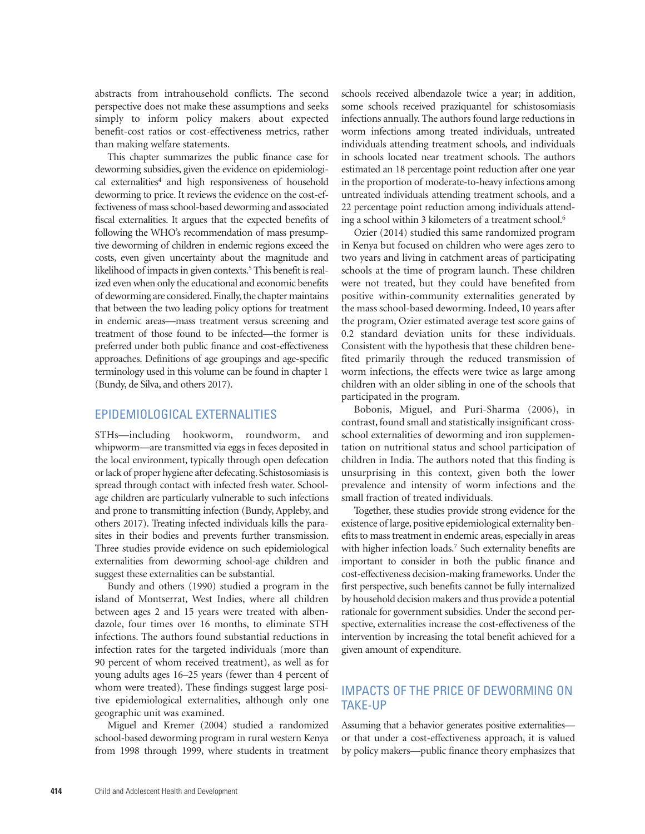abstracts from intrahousehold conflicts. The second perspective does not make these assumptions and seeks simply to inform policy makers about expected benefit-cost ratios or cost-effectiveness metrics, rather than making welfare statements.

This chapter summarizes the public finance case for deworming subsidies, given the evidence on epidemiological externalities<sup>4</sup> and high responsiveness of household deworming to price. It reviews the evidence on the cost-effectiveness of mass school-based deworming and associated fiscal externalities. It argues that the expected benefits of following the WHO's recommendation of mass presumptive deworming of children in endemic regions exceed the costs, even given uncertainty about the magnitude and likelihood of impacts in given contexts.<sup>5</sup> This benefit is realized even when only the educational and economic benefits of deworming are considered. Finally, the chapter maintains that between the two leading policy options for treatment in endemic areas—mass treatment versus screening and treatment of those found to be infected—the former is preferred under both public finance and cost-effectiveness approaches. Definitions of age groupings and age-specific terminology used in this volume can be found in chapter 1 (Bundy, de Silva, and others 2017).

# EPIDEMIOLOGICAL EXTERNALITIES

STHs—including hookworm, roundworm, and whipworm—are transmitted via eggs in feces deposited in the local environment, typically through open defecation or lack of proper hygiene after defecating. Schistosomiasis is spread through contact with infected fresh water. Schoolage children are particularly vulnerable to such infections and prone to transmitting infection (Bundy, Appleby, and others 2017). Treating infected individuals kills the parasites in their bodies and prevents further transmission. Three studies provide evidence on such epidemiological externalities from deworming school-age children and suggest these externalities can be substantial.

Bundy and others (1990) studied a program in the island of Montserrat, West Indies, where all children between ages 2 and 15 years were treated with albendazole, four times over 16 months, to eliminate STH infections. The authors found substantial reductions in infection rates for the targeted individuals (more than 90 percent of whom received treatment), as well as for young adults ages 16–25 years (fewer than 4 percent of whom were treated). These findings suggest large positive epidemiological externalities, although only one geographic unit was examined.

Miguel and Kremer (2004) studied a randomized school-based deworming program in rural western Kenya from 1998 through 1999, where students in treatment schools received albendazole twice a year; in addition, some schools received praziquantel for schistosomiasis infections annually. The authors found large reductions in worm infections among treated individuals, untreated individuals attending treatment schools, and individuals in schools located near treatment schools. The authors estimated an 18 percentage point reduction after one year in the proportion of moderate-to-heavy infections among untreated individuals attending treatment schools, and a 22 percentage point reduction among individuals attending a school within 3 kilometers of a treatment school.<sup>6</sup>

Ozier (2014) studied this same randomized program in Kenya but focused on children who were ages zero to two years and living in catchment areas of participating schools at the time of program launch. These children were not treated, but they could have benefited from positive within-community externalities generated by the mass school-based deworming. Indeed, 10 years after the program, Ozier estimated average test score gains of 0.2 standard deviation units for these individuals. Consistent with the hypothesis that these children benefited primarily through the reduced transmission of worm infections, the effects were twice as large among children with an older sibling in one of the schools that participated in the program.

Bobonis, Miguel, and Puri-Sharma (2006), in contrast, found small and statistically insignificant crossschool externalities of deworming and iron supplementation on nutritional status and school participation of children in India. The authors noted that this finding is unsurprising in this context, given both the lower prevalence and intensity of worm infections and the small fraction of treated individuals.

Together, these studies provide strong evidence for the existence of large, positive epidemiological externality benefits to mass treatment in endemic areas, especially in areas with higher infection loads.<sup>7</sup> Such externality benefits are important to consider in both the public finance and cost-effectiveness decision-making frameworks. Under the first perspective, such benefits cannot be fully internalized by household decision makers and thus provide a potential rationale for government subsidies. Under the second perspective, externalities increase the cost-effectiveness of the intervention by increasing the total benefit achieved for a given amount of expenditure.

# IMPACTS OF THE PRICE OF DEWORMING ON TAKE-UP

Assuming that a behavior generates positive externalities or that under a cost-effectiveness approach, it is valued by policy makers—public finance theory emphasizes that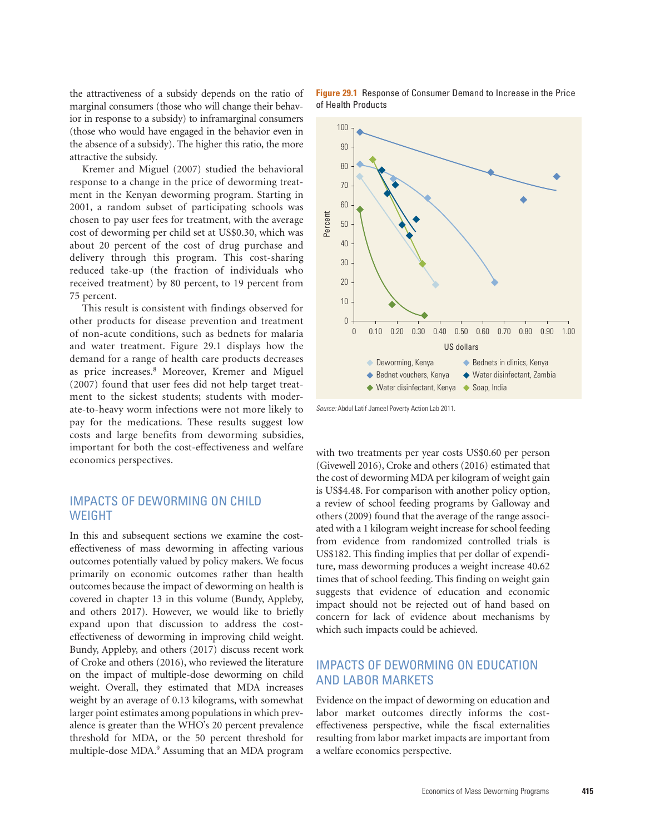the attractiveness of a subsidy depends on the ratio of marginal consumers (those who will change their behavior in response to a subsidy) to inframarginal consumers (those who would have engaged in the behavior even in the absence of a subsidy). The higher this ratio, the more attractive the subsidy.

Kremer and Miguel (2007) studied the behavioral response to a change in the price of deworming treatment in the Kenyan deworming program. Starting in 2001, a random subset of participating schools was chosen to pay user fees for treatment, with the average cost of deworming per child set at US\$0.30, which was about 20 percent of the cost of drug purchase and delivery through this program. This cost-sharing reduced take-up (the fraction of individuals who received treatment) by 80 percent, to 19 percent from 75 percent.

This result is consistent with findings observed for other products for disease prevention and treatment of non-acute conditions, such as bednets for malaria and water treatment. Figure 29.1 displays how the demand for a range of health care products decreases as price increases.<sup>8</sup> Moreover, Kremer and Miguel (2007) found that user fees did not help target treatment to the sickest students; students with moderate-to-heavy worm infections were not more likely to pay for the medications. These results suggest low costs and large benefits from deworming subsidies, important for both the cost-effectiveness and welfare economics perspectives.

# IMPACTS OF DEWORMING ON CHILD **WEIGHT**

In this and subsequent sections we examine the costeffectiveness of mass deworming in affecting various outcomes potentially valued by policy makers. We focus primarily on economic outcomes rather than health outcomes because the impact of deworming on health is covered in chapter 13 in this volume (Bundy, Appleby, and others 2017). However, we would like to briefly expand upon that discussion to address the costeffectiveness of deworming in improving child weight. Bundy, Appleby, and others (2017) discuss recent work of Croke and others (2016), who reviewed the literature on the impact of multiple-dose deworming on child weight. Overall, they estimated that MDA increases weight by an average of 0.13 kilograms, with somewhat larger point estimates among populations in which prevalence is greater than the WHO's 20 percent prevalence threshold for MDA, or the 50 percent threshold for multiple-dose MDA.<sup>9</sup> Assuming that an MDA program





Source: Abdul Latif Jameel Poverty Action Lab 2011.

with two treatments per year costs US\$0.60 per person (Givewell 2016), Croke and others (2016) estimated that the cost of deworming MDA per kilogram of weight gain is US\$4.48. For comparison with another policy option, a review of school feeding programs by Galloway and others (2009) found that the average of the range associated with a 1 kilogram weight increase for school feeding from evidence from randomized controlled trials is US\$182. This finding implies that per dollar of expenditure, mass deworming produces a weight increase 40.62 times that of school feeding. This finding on weight gain suggests that evidence of education and economic impact should not be rejected out of hand based on concern for lack of evidence about mechanisms by which such impacts could be achieved.

# IMPACTS OF DEWORMING ON EDUCATION AND LABOR MARKETS

Evidence on the impact of deworming on education and labor market outcomes directly informs the costeffectiveness perspective, while the fiscal externalities resulting from labor market impacts are important from a welfare economics perspective.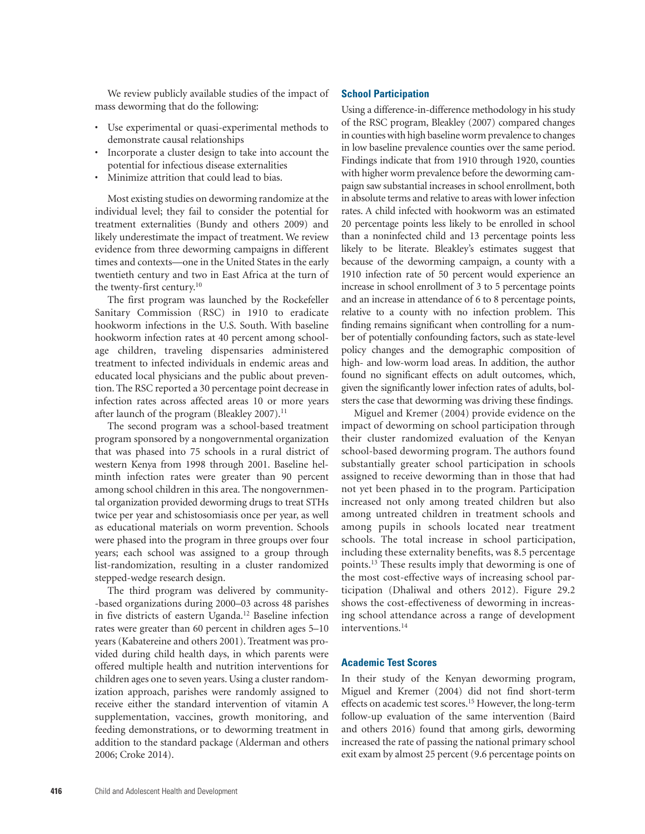We review publicly available studies of the impact of mass deworming that do the following:

- Use experimental or quasi-experimental methods to demonstrate causal relationships
- Incorporate a cluster design to take into account the potential for infectious disease externalities
- Minimize attrition that could lead to bias.

Most existing studies on deworming randomize at the individual level; they fail to consider the potential for treatment externalities (Bundy and others 2009) and likely underestimate the impact of treatment. We review evidence from three deworming campaigns in different times and contexts—one in the United States in the early twentieth century and two in East Africa at the turn of the twenty-first century.<sup>10</sup>

The first program was launched by the Rockefeller Sanitary Commission (RSC) in 1910 to eradicate hookworm infections in the U.S. South. With baseline hookworm infection rates at 40 percent among schoolage children, traveling dispensaries administered treatment to infected individuals in endemic areas and educated local physicians and the public about prevention. The RSC reported a 30 percentage point decrease in infection rates across affected areas 10 or more years after launch of the program (Bleakley 2007).<sup>11</sup>

The second program was a school-based treatment program sponsored by a nongovernmental organization that was phased into 75 schools in a rural district of western Kenya from 1998 through 2001. Baseline helminth infection rates were greater than 90 percent among school children in this area. The nongovernmental organization provided deworming drugs to treat STHs twice per year and schistosomiasis once per year, as well as educational materials on worm prevention. Schools were phased into the program in three groups over four years; each school was assigned to a group through list-randomization, resulting in a cluster randomized stepped-wedge research design.

The third program was delivered by community- -based organizations during 2000–03 across 48 parishes in five districts of eastern Uganda.12 Baseline infection rates were greater than 60 percent in children ages 5–10 years (Kabatereine and others 2001). Treatment was provided during child health days, in which parents were offered multiple health and nutrition interventions for children ages one to seven years. Using a cluster randomization approach, parishes were randomly assigned to receive either the standard intervention of vitamin A supplementation, vaccines, growth monitoring, and feeding demonstrations, or to deworming treatment in addition to the standard package (Alderman and others 2006; Croke 2014).

### **School Participation**

Using a difference-in-difference methodology in his study of the RSC program, Bleakley (2007) compared changes in counties with high baseline worm prevalence to changes in low baseline prevalence counties over the same period. Findings indicate that from 1910 through 1920, counties with higher worm prevalence before the deworming campaign saw substantial increases in school enrollment, both in absolute terms and relative to areas with lower infection rates. A child infected with hookworm was an estimated 20 percentage points less likely to be enrolled in school than a noninfected child and 13 percentage points less likely to be literate. Bleakley's estimates suggest that because of the deworming campaign, a county with a 1910 infection rate of 50 percent would experience an increase in school enrollment of 3 to 5 percentage points and an increase in attendance of 6 to 8 percentage points, relative to a county with no infection problem. This finding remains significant when controlling for a number of potentially confounding factors, such as state-level policy changes and the demographic composition of high- and low-worm load areas. In addition, the author found no significant effects on adult outcomes, which, given the significantly lower infection rates of adults, bolsters the case that deworming was driving these findings.

Miguel and Kremer (2004) provide evidence on the impact of deworming on school participation through their cluster randomized evaluation of the Kenyan school-based deworming program. The authors found substantially greater school participation in schools assigned to receive deworming than in those that had not yet been phased in to the program. Participation increased not only among treated children but also among untreated children in treatment schools and among pupils in schools located near treatment schools. The total increase in school participation, including these externality benefits, was 8.5 percentage points.13 These results imply that deworming is one of the most cost-effective ways of increasing school participation (Dhaliwal and others 2012). Figure 29.2 shows the cost-effectiveness of deworming in increasing school attendance across a range of development interventions.14

## **Academic Test Scores**

In their study of the Kenyan deworming program, Miguel and Kremer (2004) did not find short-term effects on academic test scores.<sup>15</sup> However, the long-term follow-up evaluation of the same intervention (Baird and others 2016) found that among girls, deworming increased the rate of passing the national primary school exit exam by almost 25 percent (9.6 percentage points on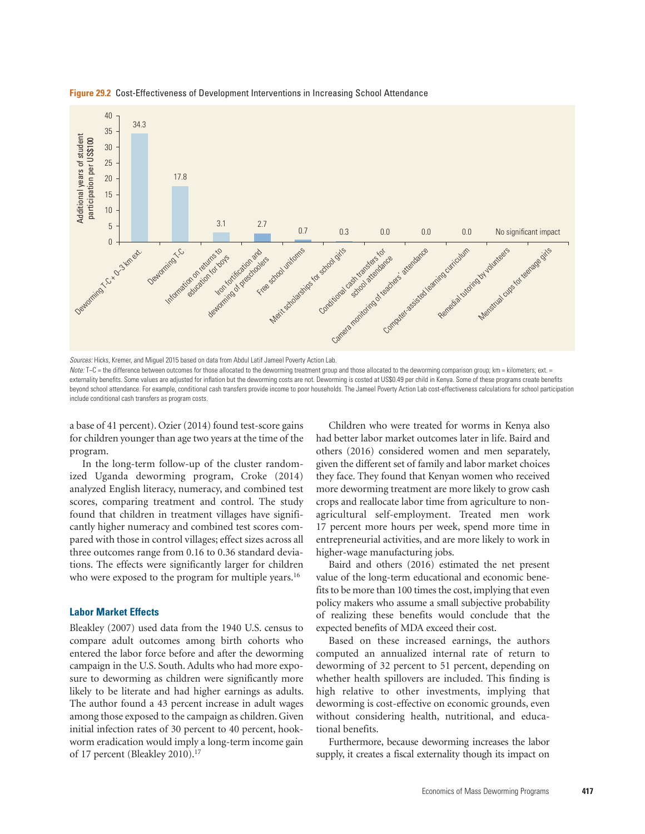

**Figure 29.2** Cost-Effectiveness of Development Interventions in Increasing School Attendance

Sources: Hicks, Kremer, and Miguel 2015 based on data from Abdul Latif Jameel Poverty Action Lab.

Note: T-C = the difference between outcomes for those allocated to the deworming treatment group and those allocated to the deworming comparison group; km = kilometers; ext. = externality benefits. Some values are adjusted for inflation but the deworming costs are not. Deworming is costed at US\$0.49 per child in Kenya. Some of these programs create benefits beyond school attendance. For example, conditional cash transfers provide income to poor households. The Jameel Poverty Action Lab cost-effectiveness calculations for school participation include conditional cash transfers as program costs.

a base of 41 percent). Ozier (2014) found test-score gains for children younger than age two years at the time of the program.

In the long-term follow-up of the cluster randomized Uganda deworming program, Croke (2014) analyzed English literacy, numeracy, and combined test scores, comparing treatment and control. The study found that children in treatment villages have significantly higher numeracy and combined test scores compared with those in control villages; effect sizes across all three outcomes range from 0.16 to 0.36 standard deviations. The effects were significantly larger for children who were exposed to the program for multiple years.<sup>16</sup>

#### **Labor Market Effects**

Bleakley (2007) used data from the 1940 U.S. census to compare adult outcomes among birth cohorts who entered the labor force before and after the deworming campaign in the U.S. South. Adults who had more exposure to deworming as children were significantly more likely to be literate and had higher earnings as adults. The author found a 43 percent increase in adult wages among those exposed to the campaign as children. Given initial infection rates of 30 percent to 40 percent, hookworm eradication would imply a long-term income gain of 17 percent (Bleakley 2010).<sup>17</sup>

Children who were treated for worms in Kenya also had better labor market outcomes later in life. Baird and others (2016) considered women and men separately, given the different set of family and labor market choices they face. They found that Kenyan women who received more deworming treatment are more likely to grow cash crops and reallocate labor time from agriculture to nonagricultural self-employment. Treated men work 17 percent more hours per week, spend more time in entrepreneurial activities, and are more likely to work in higher-wage manufacturing jobs.

Baird and others (2016) estimated the net present value of the long-term educational and economic benefits to be more than 100 times the cost, implying that even policy makers who assume a small subjective probability of realizing these benefits would conclude that the expected benefits of MDA exceed their cost.

Based on these increased earnings, the authors computed an annualized internal rate of return to deworming of 32 percent to 51 percent, depending on whether health spillovers are included. This finding is high relative to other investments, implying that deworming is cost-effective on economic grounds, even without considering health, nutritional, and educational benefits.

Furthermore, because deworming increases the labor supply, it creates a fiscal externality though its impact on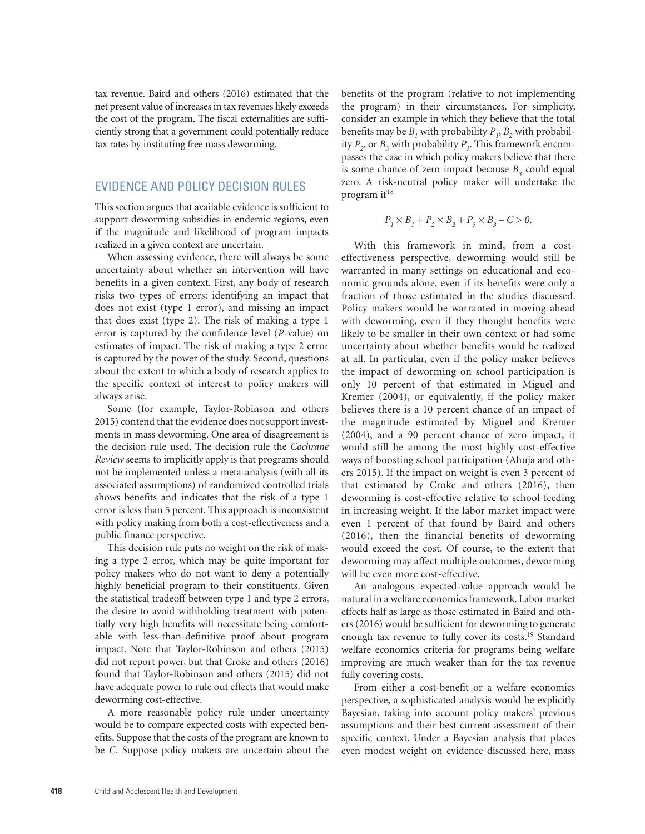tax revenue. Baird and others (2016) estimated that the net present value of increases in tax revenues likely exceeds the cost of the program. The fiscal externalities are sufficiently strong that a government could potentially reduce tax rates by instituting free mass deworming.

# EVIDENCE AND POLICY DECISION RULES

This section argues that available evidence is sufficient to support deworming subsidies in endemic regions, even if the magnitude and likelihood of program impacts realized in a given context are uncertain.

When assessing evidence, there will always be some uncertainty about whether an intervention will have benefits in a given context. First, any body of research risks two types of errors: identifying an impact that does not exist (type 1 error), and missing an impact that does exist (type 2). The risk of making a type 1 error is captured by the confidence level (*P*-value) on estimates of impact. The risk of making a type 2 error is captured by the power of the study. Second, questions about the extent to which a body of research applies to the specific context of interest to policy makers will always arise.

Some (for example, Taylor-Robinson and others 2015) contend that the evidence does not support investments in mass deworming. One area of disagreement is the decision rule used. The decision rule the *Cochrane Review* seems to implicitly apply is that programs should not be implemented unless a meta-analysis (with all its associated assumptions) of randomized controlled trials shows benefits and indicates that the risk of a type 1 error is less than 5 percent. This approach is inconsistent with policy making from both a cost-effectiveness and a public finance perspective.

This decision rule puts no weight on the risk of making a type 2 error, which may be quite important for policy makers who do not want to deny a potentially highly beneficial program to their constituents. Given the statistical tradeoff between type 1 and type 2 errors, the desire to avoid withholding treatment with potentially very high benefits will necessitate being comfortable with less-than-definitive proof about program impact. Note that Taylor-Robinson and others (2015) did not report power, but that Croke and others (2016) found that Taylor-Robinson and others (2015) did not have adequate power to rule out effects that would make deworming cost-effective.

A more reasonable policy rule under uncertainty would be to compare expected costs with expected benefits. Suppose that the costs of the program are known to be *C*. Suppose policy makers are uncertain about the

benefits of the program (relative to not implementing the program) in their circumstances. For simplicity, consider an example in which they believe that the total benefits may be  $B_1$  with probability  $P_1$ ,  $B_2$  with probability  $P_2$ , or  $B_3$  with probability  $P_3$ . This framework encompasses the case in which policy makers believe that there is some chance of zero impact because  $B_3$  could equal zero. A risk-neutral policy maker will undertake the program  $if<sup>18</sup>$ 

$$
P_1 \times B_1 + P_2 \times B_2 + P_3 \times B_3 - C > 0.
$$

With this framework in mind, from a costeffectiveness perspective, deworming would still be warranted in many settings on educational and economic grounds alone, even if its benefits were only a fraction of those estimated in the studies discussed. Policy makers would be warranted in moving ahead with deworming, even if they thought benefits were likely to be smaller in their own context or had some uncertainty about whether benefits would be realized at all. In particular, even if the policy maker believes the impact of deworming on school participation is only 10 percent of that estimated in Miguel and Kremer (2004), or equivalently, if the policy maker believes there is a 10 percent chance of an impact of the magnitude estimated by Miguel and Kremer (2004), and a 90 percent chance of zero impact, it would still be among the most highly cost-effective ways of boosting school participation (Ahuja and others 2015). If the impact on weight is even 3 percent of that estimated by Croke and others (2016), then deworming is cost-effective relative to school feeding in increasing weight. If the labor market impact were even 1 percent of that found by Baird and others (2016), then the financial benefits of deworming would exceed the cost. Of course, to the extent that deworming may affect multiple outcomes, deworming will be even more cost-effective.

An analogous expected-value approach would be natural in a welfare economics framework. Labor market effects half as large as those estimated in Baird and others (2016) would be sufficient for deworming to generate enough tax revenue to fully cover its costs.<sup>19</sup> Standard welfare economics criteria for programs being welfare improving are much weaker than for the tax revenue fully covering costs.

From either a cost-benefit or a welfare economics perspective, a sophisticated analysis would be explicitly Bayesian, taking into account policy makers' previous assumptions and their best current assessment of their specific context. Under a Bayesian analysis that places even modest weight on evidence discussed here, mass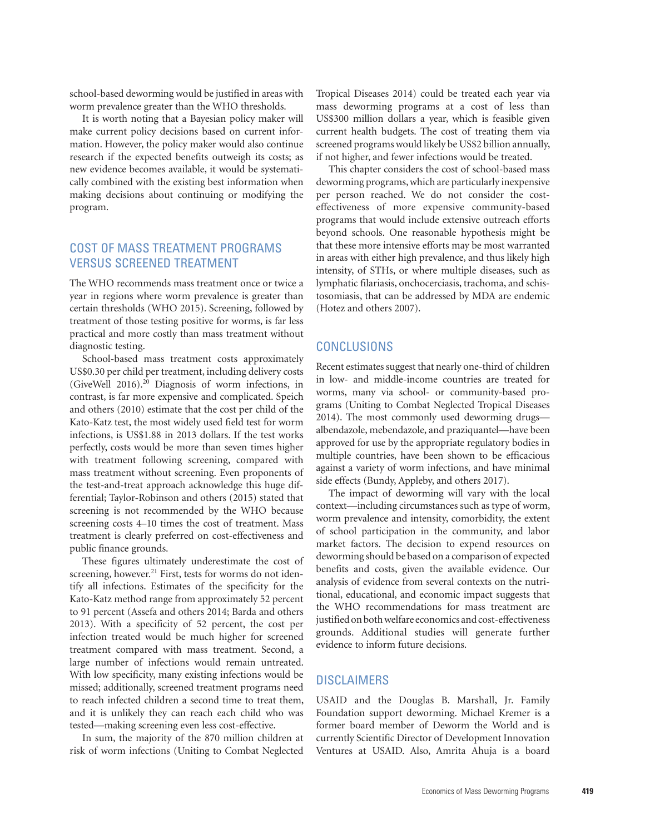school-based deworming would be justified in areas with worm prevalence greater than the WHO thresholds.

It is worth noting that a Bayesian policy maker will make current policy decisions based on current information. However, the policy maker would also continue research if the expected benefits outweigh its costs; as new evidence becomes available, it would be systematically combined with the existing best information when making decisions about continuing or modifying the program.

# COST OF MASS TREATMENT PROGRAMS VERSUS SCREENED TREATMENT

The WHO recommends mass treatment once or twice a year in regions where worm prevalence is greater than certain thresholds (WHO 2015). Screening, followed by treatment of those testing positive for worms, is far less practical and more costly than mass treatment without diagnostic testing.

School-based mass treatment costs approximately US\$0.30 per child per treatment, including delivery costs (GiveWell 2016).20 Diagnosis of worm infections, in contrast, is far more expensive and complicated. Speich and others (2010) estimate that the cost per child of the Kato-Katz test, the most widely used field test for worm infections, is US\$1.88 in 2013 dollars. If the test works perfectly, costs would be more than seven times higher with treatment following screening, compared with mass treatment without screening. Even proponents of the test-and-treat approach acknowledge this huge differential; Taylor-Robinson and others (2015) stated that screening is not recommended by the WHO because screening costs 4–10 times the cost of treatment. Mass treatment is clearly preferred on cost-effectiveness and public finance grounds.

These figures ultimately underestimate the cost of screening, however.<sup>21</sup> First, tests for worms do not identify all infections. Estimates of the specificity for the Kato-Katz method range from approximately 52 percent to 91 percent (Assefa and others 2014; Barda and others 2013). With a specificity of 52 percent, the cost per infection treated would be much higher for screened treatment compared with mass treatment. Second, a large number of infections would remain untreated. With low specificity, many existing infections would be missed; additionally, screened treatment programs need to reach infected children a second time to treat them, and it is unlikely they can reach each child who was tested—making screening even less cost-effective.

In sum, the majority of the 870 million children at risk of worm infections (Uniting to Combat Neglected

Tropical Diseases 2014) could be treated each year via mass deworming programs at a cost of less than US\$300 million dollars a year, which is feasible given current health budgets. The cost of treating them via screened programs would likely be US\$2 billion annually, if not higher, and fewer infections would be treated.

This chapter considers the cost of school-based mass deworming programs, which are particularly inexpensive per person reached. We do not consider the costeffectiveness of more expensive community-based programs that would include extensive outreach efforts beyond schools. One reasonable hypothesis might be that these more intensive efforts may be most warranted in areas with either high prevalence, and thus likely high intensity, of STHs, or where multiple diseases, such as lymphatic filariasis, onchocerciasis, trachoma, and schistosomiasis, that can be addressed by MDA are endemic (Hotez and others 2007).

## CONCLUSIONS

Recent estimates suggest that nearly one-third of children in low- and middle-income countries are treated for worms, many via school- or community-based programs (Uniting to Combat Neglected Tropical Diseases 2014). The most commonly used deworming drugs albendazole, mebendazole, and praziquantel—have been approved for use by the appropriate regulatory bodies in multiple countries, have been shown to be efficacious against a variety of worm infections, and have minimal side effects (Bundy, Appleby, and others 2017).

The impact of deworming will vary with the local context—including circumstances such as type of worm, worm prevalence and intensity, comorbidity, the extent of school participation in the community, and labor market factors. The decision to expend resources on deworming should be based on a comparison of expected benefits and costs, given the available evidence. Our analysis of evidence from several contexts on the nutritional, educational, and economic impact suggests that the WHO recommendations for mass treatment are justified on both welfare economics and cost-effectiveness grounds. Additional studies will generate further evidence to inform future decisions.

## **DISCLAIMERS**

USAID and the Douglas B. Marshall, Jr. Family Foundation support deworming. Michael Kremer is a former board member of Deworm the World and is currently Scientific Director of Development Innovation Ventures at USAID. Also, Amrita Ahuja is a board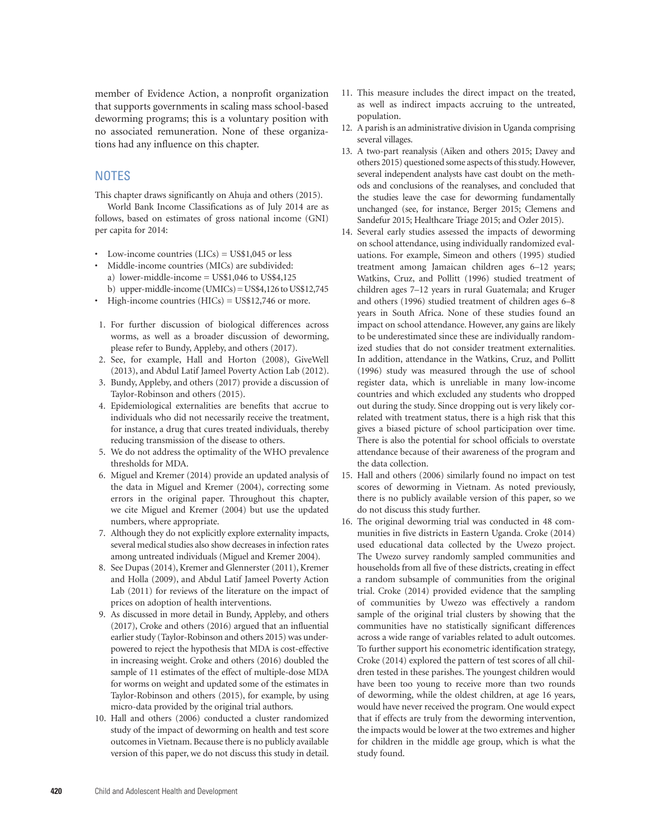member of Evidence Action, a nonprofit organization that supports governments in scaling mass school-based deworming programs; this is a voluntary position with no associated remuneration. None of these organizations had any influence on this chapter.

# **NOTES**

This chapter draws significantly on Ahuja and others (2015).

World Bank Income Classifications as of July 2014 are as follows, based on estimates of gross national income (GNI) per capita for 2014:

- Low-income countries  $(LICs) = US$1,045$  or less
- Middle-income countries (MICs) are subdivided:
	- a) lower-middle-income  $=$  US\$1,046 to US\$4,125
- b) upper-middle-income (UMICs) = US\$4,126 to US\$12,745
- High-income countries (HICs) = US\$12,746 or more.
- 1. For further discussion of biological differences across worms, as well as a broader discussion of deworming, please refer to Bundy, Appleby, and others (2017).
- 2. See, for example, Hall and Horton (2008), GiveWell (2013), and Abdul Latif Jameel Poverty Action Lab (2012).
- 3. Bundy, Appleby, and others (2017) provide a discussion of Taylor-Robinson and others (2015).
- 4. Epidemiological externalities are benefits that accrue to individuals who did not necessarily receive the treatment, for instance, a drug that cures treated individuals, thereby reducing transmission of the disease to others.
- 5. We do not address the optimality of the WHO prevalence thresholds for MDA.
- 6. Miguel and Kremer (2014) provide an updated analysis of the data in Miguel and Kremer (2004), correcting some errors in the original paper. Throughout this chapter, we cite Miguel and Kremer (2004) but use the updated numbers, where appropriate.
- 7. Although they do not explicitly explore externality impacts, several medical studies also show decreases in infection rates among untreated individuals (Miguel and Kremer 2004).
- 8. See Dupas (2014), Kremer and Glennerster (2011), Kremer and Holla (2009), and Abdul Latif Jameel Poverty Action Lab (2011) for reviews of the literature on the impact of prices on adoption of health interventions.
- 9. As discussed in more detail in Bundy, Appleby, and others (2017), Croke and others (2016) argued that an influential earlier study (Taylor-Robinson and others 2015) was underpowered to reject the hypothesis that MDA is cost-effective in increasing weight. Croke and others (2016) doubled the sample of 11 estimates of the effect of multiple-dose MDA for worms on weight and updated some of the estimates in Taylor-Robinson and others (2015), for example, by using micro-data provided by the original trial authors.
- 10. Hall and others (2006) conducted a cluster randomized study of the impact of deworming on health and test score outcomes in Vietnam. Because there is no publicly available version of this paper, we do not discuss this study in detail.
- 11. This measure includes the direct impact on the treated, as well as indirect impacts accruing to the untreated, population.
- 12. A parish is an administrative division in Uganda comprising several villages.
- 13. A two-part reanalysis (Aiken and others 2015; Davey and others 2015) questioned some aspects of this study. However, several independent analysts have cast doubt on the methods and conclusions of the reanalyses, and concluded that the studies leave the case for deworming fundamentally unchanged (see, for instance, Berger 2015; Clemens and Sandefur 2015; Healthcare Triage 2015; and Ozler 2015).
- 14. Several early studies assessed the impacts of deworming on school attendance, using individually randomized evaluations. For example, Simeon and others (1995) studied treatment among Jamaican children ages 6–12 years; Watkins, Cruz, and Pollitt (1996) studied treatment of children ages 7–12 years in rural Guatemala; and Kruger and others (1996) studied treatment of children ages 6–8 years in South Africa. None of these studies found an impact on school attendance. However, any gains are likely to be underestimated since these are individually randomized studies that do not consider treatment externalities. In addition, attendance in the Watkins, Cruz, and Pollitt (1996) study was measured through the use of school register data, which is unreliable in many low-income countries and which excluded any students who dropped out during the study. Since dropping out is very likely correlated with treatment status, there is a high risk that this gives a biased picture of school participation over time. There is also the potential for school officials to overstate attendance because of their awareness of the program and the data collection.
- 15. Hall and others (2006) similarly found no impact on test scores of deworming in Vietnam. As noted previously, there is no publicly available version of this paper, so we do not discuss this study further.
- 16. The original deworming trial was conducted in 48 communities in five districts in Eastern Uganda. Croke (2014) used educational data collected by the Uwezo project. The Uwezo survey randomly sampled communities and households from all five of these districts, creating in effect a random subsample of communities from the original trial. Croke (2014) provided evidence that the sampling of communities by Uwezo was effectively a random sample of the original trial clusters by showing that the communities have no statistically significant differences across a wide range of variables related to adult outcomes. To further support his econometric identification strategy, Croke (2014) explored the pattern of test scores of all children tested in these parishes. The youngest children would have been too young to receive more than two rounds of deworming, while the oldest children, at age 16 years, would have never received the program. One would expect that if effects are truly from the deworming intervention, the impacts would be lower at the two extremes and higher for children in the middle age group, which is what the study found.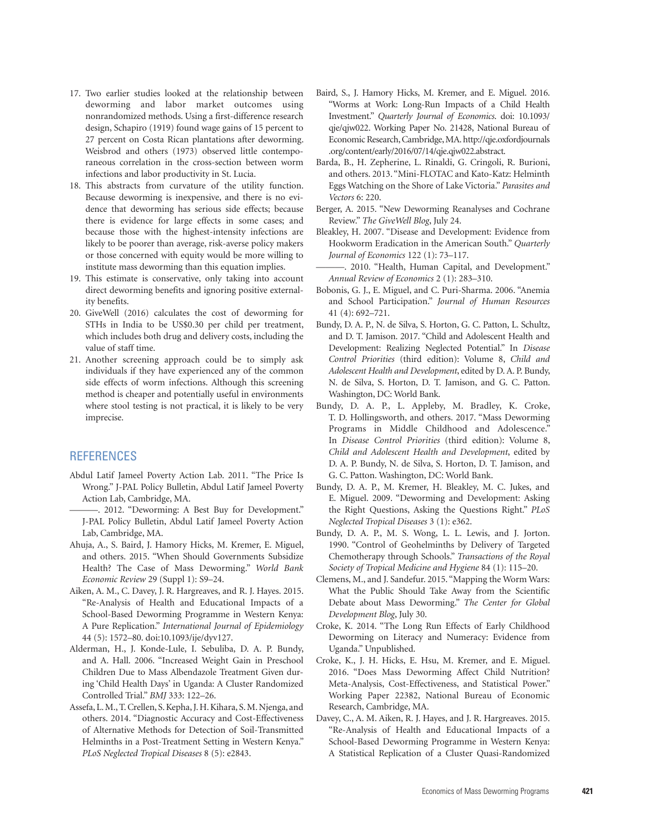- 17. Two earlier studies looked at the relationship between deworming and labor market outcomes using nonrandomized methods. Using a first-difference research design, Schapiro (1919) found wage gains of 15 percent to 27 percent on Costa Rican plantations after deworming. Weisbrod and others (1973) observed little contemporaneous correlation in the cross-section between worm infections and labor productivity in St. Lucia.
- 18. This abstracts from curvature of the utility function. Because deworming is inexpensive, and there is no evidence that deworming has serious side effects; because there is evidence for large effects in some cases; and because those with the highest-intensity infections are likely to be poorer than average, risk-averse policy makers or those concerned with equity would be more willing to institute mass deworming than this equation implies.
- 19. This estimate is conservative, only taking into account direct deworming benefits and ignoring positive externality benefits.
- 20. GiveWell (2016) calculates the cost of deworming for STHs in India to be US\$0.30 per child per treatment, which includes both drug and delivery costs, including the value of staff time.
- 21. Another screening approach could be to simply ask individuals if they have experienced any of the common side effects of worm infections. Although this screening method is cheaper and potentially useful in environments where stool testing is not practical, it is likely to be very imprecise.

## REFERENCES

- Abdul Latif Jameel Poverty Action Lab. 2011. "The Price Is Wrong." J-PAL Policy Bulletin, Abdul Latif Jameel Poverty Action Lab, Cambridge, MA.
- -. 2012. "Deworming: A Best Buy for Development." J-PAL Policy Bulletin, Abdul Latif Jameel Poverty Action Lab, Cambridge, MA.
- Ahuja, A., S. Baird, J. Hamory Hicks, M. Kremer, E. Miguel, and others. 2015. "When Should Governments Subsidize Health? The Case of Mass Deworming." *World Bank Economic Review* 29 (Suppl 1): S9–24.
- Aiken, A. M., C. Davey, J. R. Hargreaves, and R. J. Hayes. 2015. "Re-Analysis of Health and Educational Impacts of a School-Based Deworming Programme in Western Kenya: A Pure Replication." *International Journal of Epidemiology* 44 (5): 1572–80. doi:10.1093/ije/dyv127.
- Alderman, H., J. Konde-Lule, I. Sebuliba, D. A. P. Bundy, and A. Hall. 2006. "Increased Weight Gain in Preschool Children Due to Mass Albendazole Treatment Given during 'Child Health Days' in Uganda: A Cluster Randomized Controlled Trial." *BMJ* 333: 122–26.
- Assefa, L. M., T. Crellen, S. Kepha, J. H. Kihara, S. M. Njenga, and others. 2014. "Diagnostic Accuracy and Cost-Effectiveness of Alternative Methods for Detection of Soil-Transmitted Helminths in a Post-Treatment Setting in Western Kenya." *PLoS Neglected Tropical Diseases* 8 (5): e2843.
- Baird, S., J. Hamory Hicks, M. Kremer, and E. Miguel. 2016. "Worms at Work: Long-Run Impacts of a Child Health Investment." *Quarterly Journal of Economics*. doi: 10.1093/ qje/qjw022. Working Paper No. 21428, National Bureau of Economic Research, Cambridge, MA[. http://qje.oxfordjournals](http://qje.oxfordjournals.org/content/early/2016/07/14/qje.qjw022.abstract)  [.org/content/early/2016/07/14/qje.qjw022.abstract.](http://qje.oxfordjournals.org/content/early/2016/07/14/qje.qjw022.abstract)
- Barda, B., H. Zepherine, L. Rinaldi, G. Cringoli, R. Burioni, and others. 2013. "Mini-FLOTAC and Kato-Katz: Helminth Eggs Watching on the Shore of Lake Victoria." *Parasites and Vectors* 6: 220.
- Berger, A. 2015. "New Deworming Reanalyses and Cochrane Review." *The GiveWell Blog*, July 24.
- Bleakley, H. 2007. "Disease and Development: Evidence from Hookworm Eradication in the American South." *Quarterly Journal of Economics* 122 (1): 73–117.
- ———. 2010. "Health, Human Capital, and Development." *Annual Review of Economics* 2 (1): 283–310.
- Bobonis, G. J., E. Miguel, and C. Puri-Sharma. 2006. "Anemia and School Participation." *Journal of Human Resources* 41 (4): 692–721.
- Bundy, D. A. P., N. de Silva, S. Horton, G. C. Patton, L. Schultz, and D. T. Jamison. 2017. "Child and Adolescent Health and Development: Realizing Neglected Potential." In *Disease Control Priorities* (third edition): Volume 8, *Child and Adolescent Health and Development*, edited by D. A. P. Bundy, N. de Silva, S. Horton, D. T. Jamison, and G. C. Patton. Washington, DC: World Bank.
- Bundy, D. A. P., L. Appleby, M. Bradley, K. Croke, T. D. Hollingsworth, and others. 2017. "Mass Deworming Programs in Middle Childhood and Adolescence." In *Disease Control Priorities* (third edition): Volume 8, *Child and Adolescent Health and Development*, edited by D. A. P. Bundy, N. de Silva, S. Horton, D. T. Jamison, and G. C. Patton. Washington, DC: World Bank.
- Bundy, D. A. P., M. Kremer, H. Bleakley, M. C. Jukes, and E. Miguel. 2009. "Deworming and Development: Asking the Right Questions, Asking the Questions Right." *PLoS Neglected Tropical Diseases* 3 (1): e362.
- Bundy, D. A. P., M. S. Wong, L. L. Lewis, and J. Jorton. 1990. "Control of Geohelminths by Delivery of Targeted Chemotherapy through Schools." *Transactions of the Royal Society of Tropical Medicine and Hygiene* 84 (1): 115–20.
- Clemens, M., and J. Sandefur. 2015. "Mapping the Worm Wars: What the Public Should Take Away from the Scientific Debate about Mass Deworming." *The Center for Global Development Blog*, July 30.
- Croke, K. 2014. "The Long Run Effects of Early Childhood Deworming on Literacy and Numeracy: Evidence from Uganda." Unpublished.
- Croke, K., J. H. Hicks, E. Hsu, M. Kremer, and E. Miguel. 2016. "Does Mass Deworming Affect Child Nutrition? Meta-Analysis, Cost-Effectiveness, and Statistical Power." Working Paper 22382, National Bureau of Economic Research, Cambridge, MA.
- Davey, C., A. M. Aiken, R. J. Hayes, and J. R. Hargreaves. 2015. "Re-Analysis of Health and Educational Impacts of a School-Based Deworming Programme in Western Kenya: A Statistical Replication of a Cluster Quasi-Randomized